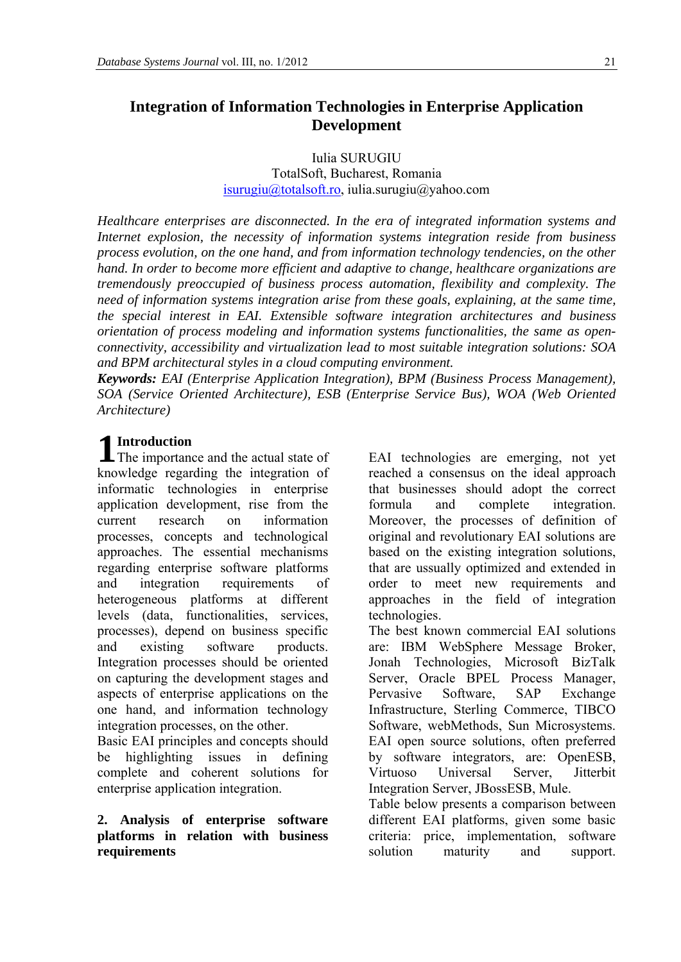Iulia SURUGIU TotalSoft, Bucharest, Romania [isurugiu@totalsoft.ro,](mailto:isurugiu@totalsoft.ro) iulia.surugiu@yahoo.com

*Healthcare enterprises are disconnected. In the era of integrated information systems and Internet explosion, the necessity of information systems integration reside from business process evolution, on the one hand, and from information technology tendencies, on the other hand. In order to become more efficient and adaptive to change, healthcare organizations are tremendously preoccupied of business process automation, flexibility and complexity. The need of information systems integration arise from these goals, explaining, at the same time, the special interest in EAI. Extensible software integration architectures and business orientation of process modeling and information systems functionalities, the same as openconnectivity, accessibility and virtualization lead to most suitable integration solutions: SOA and BPM architectural styles in a cloud computing environment.* 

*Keywords: EAI (Enterprise Application Integration), BPM (Business Process Management), SOA (Service Oriented Architecture), ESB (Enterprise Service Bus), WOA (Web Oriented Architecture)*

# **Introduction**

know ledge regarding the integration of informatic technologies in enterprise application development, rise from the current research on information processes, concepts and technological approaches. The essential mechanisms regarding enterprise software platforms and integration requirements of heterogeneous platforms at different levels (data, functionalities, services, processes), depend on business specific and existing software products. Integration processes should be oriented on capturing the development stages and aspects of enterprise applications on the one hand, and information technology integration processes, on the other.

Basic EAI principles and concepts should be highlighting issues in defining complete and coherent solutions for enterprise application integration.

#### **2. Analysis of enterprise software platforms in relation with business requirements**

**1 Introduction**<br>The importance and the actual state of EAI technologies are emerging, not yet reached a consensus on the ideal approach that businesses should adopt the correct formula and complete integration. Moreover, the processes of definition of original and revolutionary EAI solutions are based on the existing integration solutions, that are ussually optimized and extended in order to meet new requirements and approaches in the field of integration technologies.

The best known commercial EAI solutions are: IBM WebSphere Message Broker, Jonah Technologies, Microsoft BizTalk Server, Oracle BPEL Process Manager, Pervasive Software, SAP Exchange Infrastructure, Sterling Commerce, TIBCO Software, webMethods, Sun Microsystems. EAI open source solutions, often preferred by software integrators, are: OpenESB, Virtuoso Universal Server, Jitterbit Integration Server, JBossESB, Mule.

Table below presents a comparison between different EAI platforms, given some basic criteria: price, implementation, software solution maturity and support.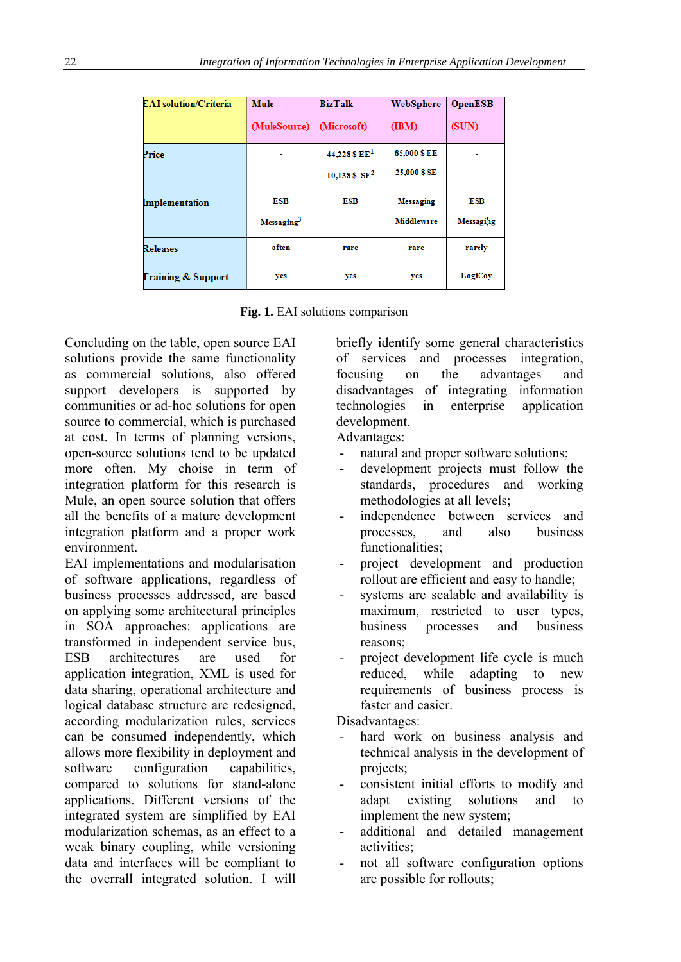| <b>EAI</b> solution/Criteria  | <b>Mule</b>            | <b>BizTalk</b>    | WebSphere        | <b>OpenESB</b>   |
|-------------------------------|------------------------|-------------------|------------------|------------------|
|                               | (MuleSource)           | (Microsoft)       | (IBM)            | (SUN)            |
| Price                         |                        | $44.228$ \$ $EE1$ | 85,000 \$ EE     |                  |
|                               |                        | 10,138 \$ $SE2$   | 25,000 \$ SE     |                  |
| Implementation                | <b>ESB</b>             | ESB               | <b>Messaging</b> | ESB              |
|                               | Messaging <sup>3</sup> |                   | Middleware       | <b>Messaging</b> |
| Releases                      | often                  | rare              | rare             | rarely           |
| <b>Training &amp; Support</b> | yes                    | yes               | yes              | LogiCoy          |

**Fig. 1.** EAI solutions comparison

Concluding on the table, open source EAI solutions provide the same functionality as commercial solutions, also offered support developers is supported by communities or ad-hoc solutions for open source to commercial, which is purchased at cost. In terms of planning versions, open-source solutions tend to be updated more often. My choise in term of integration platform for this research is Mule, an open source solution that offers all the benefits of a mature development integration platform and a proper work environment.

EAI implementations and modularisation of software applications, regardless of business processes addressed, are based on applying some architectural principles in SOA approaches: applications are transformed in independent service bus, ESB architectures are used for application integration, XML is used for data sharing, operational architecture and logical database structure are redesigned, according modularization rules, services can be consumed independently, which allows more flexibility in deployment and software configuration capabilities, compared to solutions for stand-alone applications. Different versions of the integrated system are simplified by EAI modularization schemas, as an effect to a weak binary coupling, while versioning data and interfaces will be compliant to the overrall integrated solution. I will briefly identify some general characteristics of services and processes integration, focusing on the advantages and disadvantages of integrating information technologies in enterprise application development.

Advantages:

- natural and proper software solutions;
- development projects must follow the standards, procedures and working methodologies at all levels;
- independence between services and processes, and also business functionalities;
- project development and production rollout are efficient and easy to handle;
- systems are scalable and availability is maximum, restricted to user types, business processes and business reasons;
- project development life cycle is much reduced, while adapting to new requirements of business process is faster and easier.

Disadvantages:

- hard work on business analysis and technical analysis in the development of projects;
- consistent initial efforts to modify and adapt existing solutions and to implement the new system;
- additional and detailed management activities;
- not all software configuration options are possible for rollouts;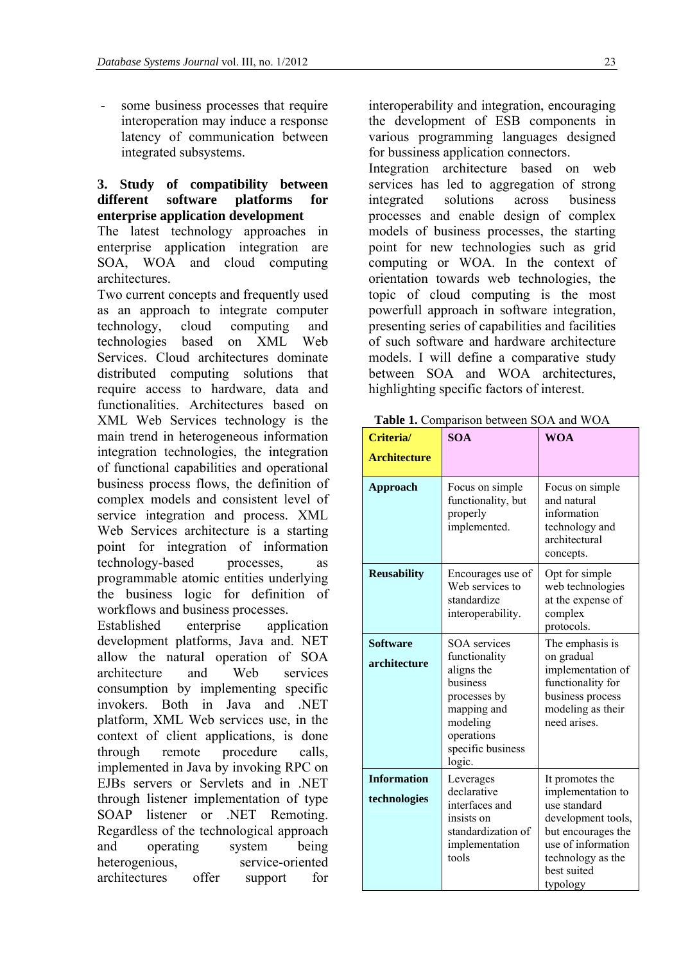- some business processes that require interoperation may induce a response latency of communication between integrated subsystems.

### **3. Study of compatibility between different software platforms for enterprise application development**

The latest technology approaches in enterprise application integration are SOA, WOA and cloud computing architectures.

Two current concepts and frequently used as an approach to integrate computer technology, cloud computing and technologies based on XML Web Services. Cloud architectures dominate distributed computing solutions that require access to hardware, data and functionalities. Architectures based on XML Web Services technology is the main trend in heterogeneous information integration technologies, the integration of functional capabilities and operational business process flows, the definition of complex models and consistent level of service integration and process. XML Web Services architecture is a starting point for integration of information technology-based processes, as programmable atomic entities underlying the business logic for definition of workflows and business processes.

Established enterprise application development platforms, Java and. NET allow the natural operation of SOA architecture and Web services consumption by implementing specific invokers. Both in Java and .NET platform, XML Web services use, in the context of client applications, is done through remote procedure calls, implemented in Java by invoking RPC on EJBs servers or Servlets and in .NET through listener implementation of type SOAP listener or .NET Remoting. Regardless of the technological approach and operating system being heterogenious, service-oriented architectures offer support for

interoperability and integration, encouraging the development of ESB components in various programming languages designed for bussiness application connectors.

Integration architecture based on web services has led to aggregation of strong integrated solutions across business processes and enable design of complex models of business processes, the starting point for new technologies such as grid computing or WOA. In the context of orientation towards web technologies, the topic of cloud computing is the most powerfull approach in software integration, presenting series of capabilities and facilities of such software and hardware architecture models. I will define a comparative study between SOA and WOA architectures, highlighting specific factors of interest.

| Criteria/<br><b>Architecture</b>   | <b>SOA</b>                                                                                                                                             | <b>WOA</b>                                                                                                                                                             |  |
|------------------------------------|--------------------------------------------------------------------------------------------------------------------------------------------------------|------------------------------------------------------------------------------------------------------------------------------------------------------------------------|--|
| Approach                           | Focus on simple<br>functionality, but<br>properly<br>implemented.                                                                                      | Focus on simple<br>and natural<br>information<br>technology and<br>architectural<br>concepts.                                                                          |  |
| <b>Reusability</b>                 | Encourages use of<br>Web services to<br>standardize<br>interoperability.                                                                               | Opt for simple<br>web technologies<br>at the expense of<br>complex<br>protocols.                                                                                       |  |
| <b>Software</b><br>architecture    | <b>SOA</b> services<br>functionality<br>aligns the<br>business<br>processes by<br>mapping and<br>modeling<br>operations<br>specific business<br>logic. | The emphasis is<br>on gradual<br>implementation of<br>functionality for<br>business process<br>modeling as their<br>need arises.                                       |  |
| <b>Information</b><br>technologies | Leverages<br>declarative<br>interfaces and<br>insists on<br>standardization of<br>implementation<br>tools                                              | It promotes the<br>implementation to<br>use standard<br>development tools,<br>but encourages the<br>use of information<br>technology as the<br>best suited<br>typology |  |

**Table 1.** Comparison between SOA and WOA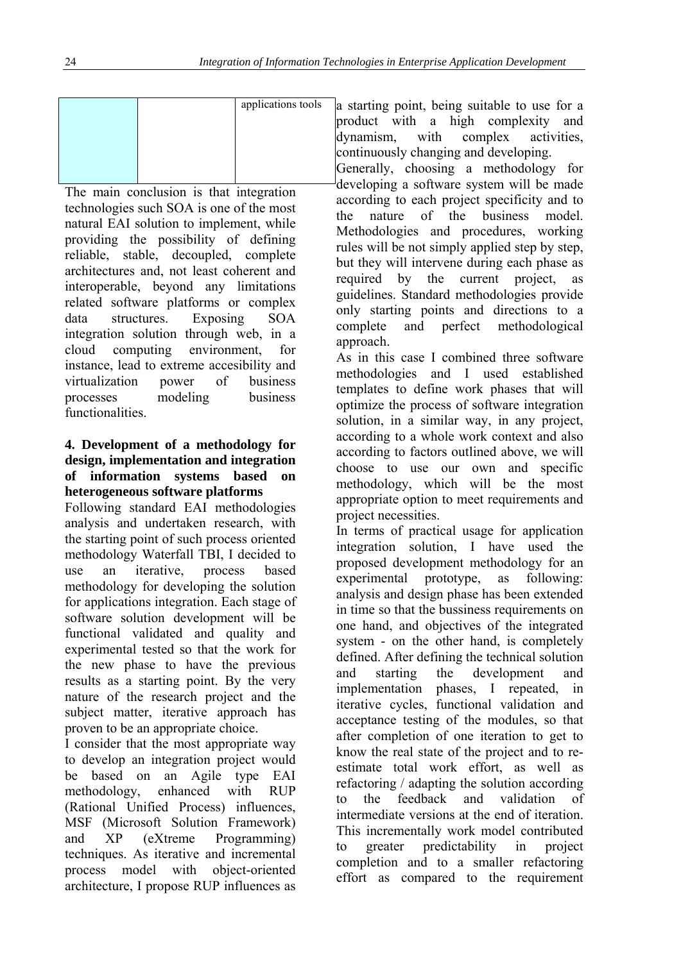|  | applications tools |
|--|--------------------|
|  |                    |
|  |                    |
|  |                    |

The main conclusion is that integration technologies such SOA is one of the most natural EAI solution to implement, while providing the possibility of defining reliable, stable, decoupled, complete architectures and, not least coherent and interoperable, beyond any limitations related software platforms or complex data structures. Exposing SOA integration solution through web, in a cloud computing environment, for instance, lead to extreme accesibility and virtualization power of business processes modeling business functionalities.

## **4. Development of a methodology for design, implementation and integration of information systems based on heterogeneous software platforms**

Following standard EAI methodologies analysis and undertaken research, with the starting point of such process oriented methodology Waterfall TBI, I decided to use an iterative, process based methodology for developing the solution for applications integration. Each stage of software solution development will be functional validated and quality and experimental tested so that the work for the new phase to have the previous results as a starting point. By the very nature of the research project and the subject matter, iterative approach has proven to be an appropriate choice.

I consider that the most appropriate way to develop an integration project would be based on an Agile type EAI methodology, enhanced with RUP (Rational Unified Process) influences, MSF (Microsoft Solution Framework) and XP (eXtreme Programming) techniques. As iterative and incremental process model with object-oriented architecture, I propose RUP influences as a starting point, being suitable to use for a product with a high complexity and dynamism, with complex activities, continuously changing and developing.

Generally, choosing a methodology for developing a software system will be made according to each project specificity and to the nature of the business model. Methodologies and procedures, working rules will be not simply applied step by step, but they will intervene during each phase as required by the current project, as guidelines. Standard methodologies provide only starting points and directions to a complete and perfect methodological approach.

As in this case I combined three software methodologies and I used established templates to define work phases that will optimize the process of software integration solution, in a similar way, in any project, according to a whole work context and also according to factors outlined above, we will choose to use our own and specific methodology, which will be the most appropriate option to meet requirements and project necessities.

In terms of practical usage for application integration solution, I have used the proposed development methodology for an experimental prototype, as following: analysis and design phase has been extended in time so that the bussiness requirements on one hand, and objectives of the integrated system - on the other hand, is completely defined. After defining the technical solution and starting the development and implementation phases, I repeated, in iterative cycles, functional validation and acceptance testing of the modules, so that after completion of one iteration to get to know the real state of the project and to reestimate total work effort, as well as refactoring / adapting the solution according to the feedback and validation of intermediate versions at the end of iteration. This incrementally work model contributed to greater predictability in project completion and to a smaller refactoring effort as compared to the requirement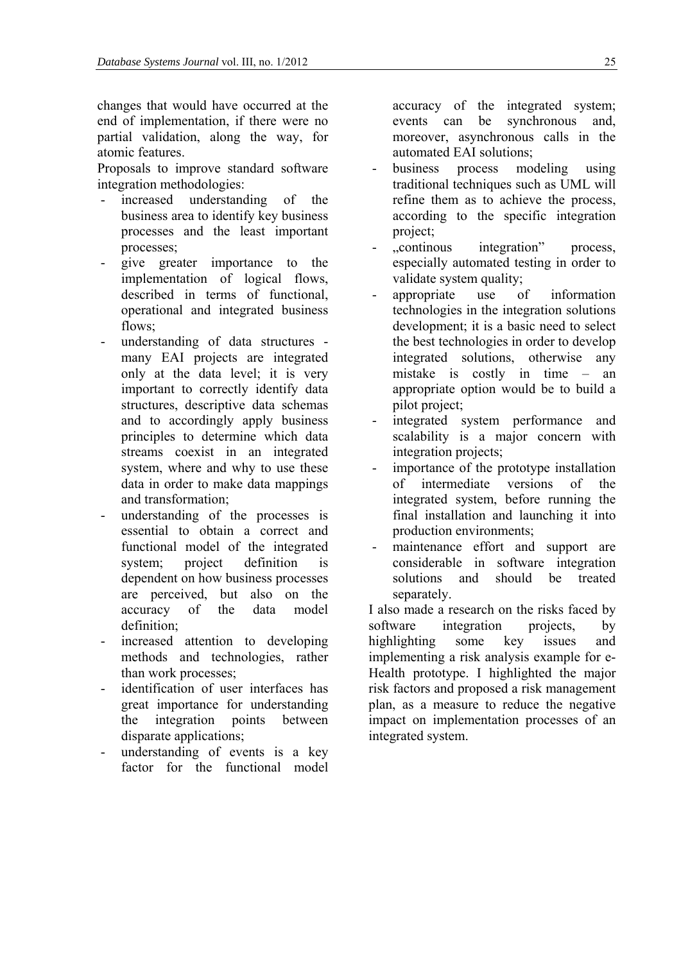changes that would have occurred at the end of implementation, if there were no partial validation, along the way, for atomic features.

Proposals to improve standard software integration methodologies:

- increased understanding of the business area to identify key business processes and the least important processes;
- give greater importance to the implementation of logical flows, described in terms of functional, operational and integrated business flows;
- understanding of data structures many EAI projects are integrated only at the data level; it is very important to correctly identify data structures, descriptive data schemas and to accordingly apply business principles to determine which data streams coexist in an integrated system, where and why to use these data in order to make data mappings and transformation;
- understanding of the processes is essential to obtain a correct and functional model of the integrated system; project definition is dependent on how business processes are perceived, but also on the accuracy of the data model definition;
- increased attention to developing methods and technologies, rather than work processes;
- identification of user interfaces has great importance for understanding the integration points between disparate applications;
- understanding of events is a key factor for the functional model

accuracy of the integrated system; events can be synchronous and, moreover, asynchronous calls in the automated EAI solutions;

- business process modeling using traditional techniques such as UML will refine them as to achieve the process, according to the specific integration project;
- "continous integration" process, especially automated testing in order to validate system quality;
- appropriate use of information technologies in the integration solutions development; it is a basic need to select the best technologies in order to develop integrated solutions, otherwise any mistake is costly in time – an appropriate option would be to build a pilot project;
- integrated system performance and scalability is a major concern with integration projects;
- importance of the prototype installation of intermediate versions of the integrated system, before running the final installation and launching it into production environments;
- maintenance effort and support are considerable in software integration solutions and should be treated separately.

I also made a research on the risks faced by software integration projects, by highlighting some key issues and implementing a risk analysis example for e-Health prototype. I highlighted the major risk factors and proposed a risk management plan, as a measure to reduce the negative impact on implementation processes of an integrated system.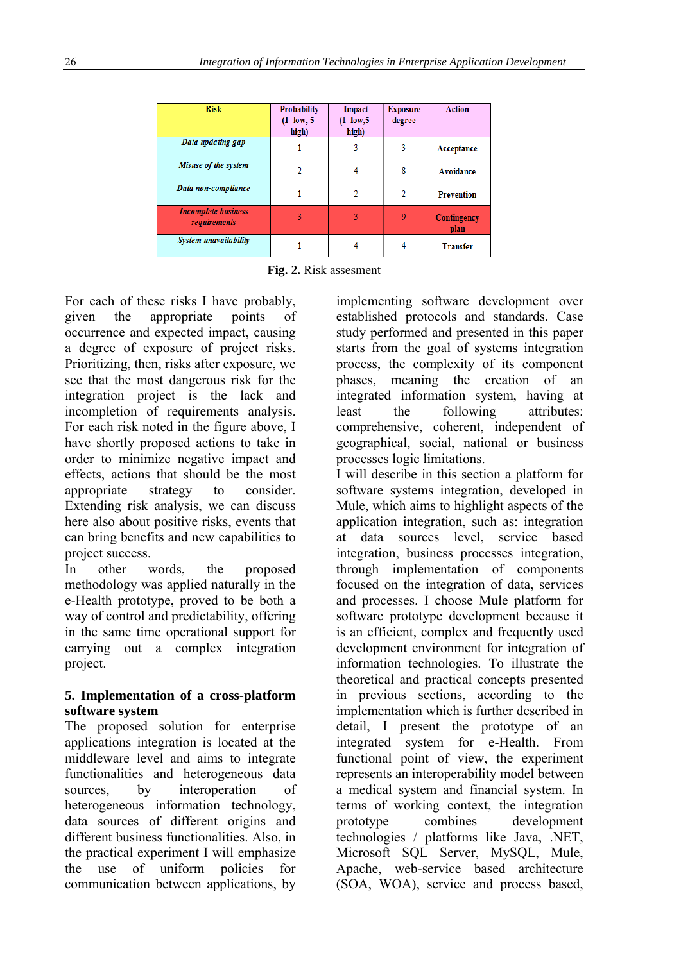| <b>Risk</b>                                | <b>Probability</b><br>$(l-low, 5-l)$<br>high) | Impact<br>$(l-low, 5-l)$<br>high) | <b>Exposure</b><br>degree | <b>Action</b>              |
|--------------------------------------------|-----------------------------------------------|-----------------------------------|---------------------------|----------------------------|
| Data updating gap                          |                                               | 3                                 | 3                         | Acceptance                 |
| Misuse of the system                       | 2                                             | 4                                 | 8                         | <b>Avoidance</b>           |
| Data non-compliance                        |                                               | 2                                 | 2                         | <b>Prevention</b>          |
| <b>Incomplete business</b><br>requirements |                                               |                                   | 9                         | <b>Contingency</b><br>plan |
| System unavailability                      |                                               | 4                                 | 4                         | <b>Transfer</b>            |

**Fig. 2.** Risk assesment

For each of these risks I have probably, given the appropriate points of occurrence and expected impact, causing a degree of exposure of project risks. Prioritizing, then, risks after exposure, we see that the most dangerous risk for the integration project is the lack and incompletion of requirements analysis. For each risk noted in the figure above, I have shortly proposed actions to take in order to minimize negative impact and effects, actions that should be the most appropriate strategy to consider. Extending risk analysis, we can discuss here also about positive risks, events that can bring benefits and new capabilities to project success.

In other words, the proposed methodology was applied naturally in the e-Health prototype, proved to be both a way of control and predictability, offering in the same time operational support for carrying out a complex integration project.

### **5. Implementation of a cross-platform software system**

The proposed solution for enterprise applications integration is located at the middleware level and aims to integrate functionalities and heterogeneous data sources, by interoperation of heterogeneous information technology, data sources of different origins and different business functionalities. Also, in the practical experiment I will emphasize the use of uniform policies for communication between applications, by implementing software development over established protocols and standards. Case study performed and presented in this paper starts from the goal of systems integration process, the complexity of its component phases, meaning the creation of an integrated information system, having at least the following attributes: comprehensive, coherent, independent of geographical, social, national or business processes logic limitations.

I will describe in this section a platform for software systems integration, developed in Mule, which aims to highlight aspects of the application integration, such as: integration at data sources level, service based integration, business processes integration, through implementation of components focused on the integration of data, services and processes. I choose Mule platform for software prototype development because it is an efficient, complex and frequently used development environment for integration of information technologies. To illustrate the theoretical and practical concepts presented in previous sections, according to the implementation which is further described in detail, I present the prototype of an integrated system for e-Health. From functional point of view, the experiment represents an interoperability model between a medical system and financial system. In terms of working context, the integration prototype combines development technologies / platforms like Java, .NET, Microsoft SQL Server, MySQL, Mule, Apache, web-service based architecture (SOA, WOA), service and process based,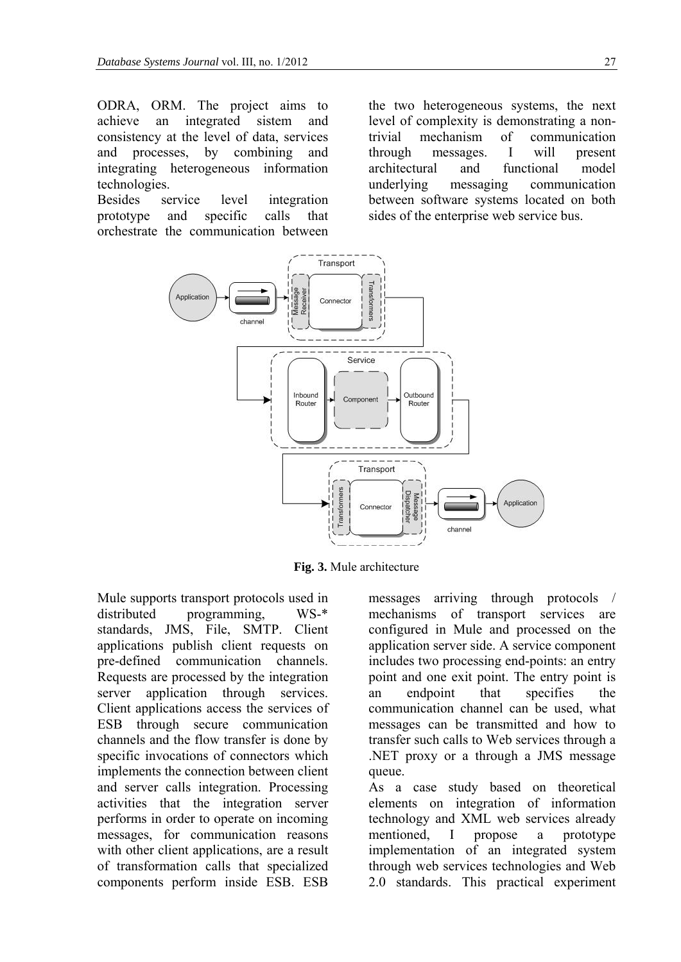ODRA, ORM. The project aims to achieve an integrated sistem and consistency at the level of data, services and processes, by combining and integrating heterogeneous information technologies.

Besides service level integration prototype and specific calls that orchestrate the communication between

the two heterogeneous systems, the next level of complexity is demonstrating a nontrivial mechanism of communication through messages. I will present architectural and functional model underlying messaging communication between software systems located on both sides of the enterprise web service bus.



**Fig. 3.** Mule architecture

Mule supports transport protocols used in distributed programming, WS-\* standards, JMS, File, SMTP. Client applications publish client requests on pre-defined communication channels. Requests are processed by the integration server application through services. Client applications access the services of ESB through secure communication channels and the flow transfer is done by specific invocations of connectors which implements the connection between client and server calls integration. Processing activities that the integration server performs in order to operate on incoming messages, for communication reasons with other client applications, are a result of transformation calls that specialized components perform inside ESB. ESB

messages arriving through protocols / mechanisms of transport services are configured in Mule and processed on the application server side. A service component includes two processing end-points: an entry point and one exit point. The entry point is an endpoint that specifies the communication channel can be used, what messages can be transmitted and how to transfer such calls to Web services through a .NET proxy or a through a JMS message queue.

As a case study based on theoretical elements on integration of information technology and XML web services already mentioned, I propose a prototype implementation of an integrated system through web services technologies and Web 2.0 standards. This practical experiment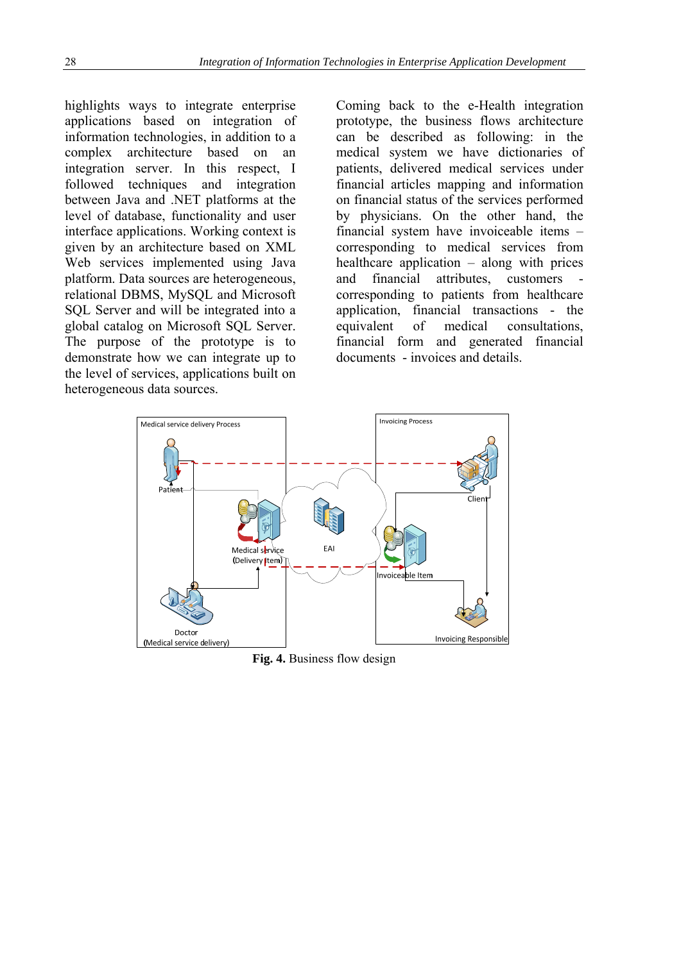highlights ways to integrate enterprise applications based on integration of information technologies, in addition to a complex architecture based on an integration server. In this respect, I followed techniques and integration between Java and .NET platforms at the level of database, functionality and user interface applications. Working context is given by an architecture based on XML Web services implemented using Java platform. Data sources are heterogeneous, relational DBMS, MySQL and Microsoft SQL Server and will be integrated into a global catalog on Microsoft SQL Server. The purpose of the prototype is to demonstrate how we can integrate up to the level of services, applications built on heterogeneous data sources.

Coming back to the e-Health integration prototype, the business flows architecture can be described as following: in the medical system we have dictionaries of patients, delivered medical services under financial articles mapping and information on financial status of the services performed by physicians. On the other hand, the financial system have invoiceable items – corresponding to medical services from healthcare application – along with prices and financial attributes, customers corresponding to patients from healthcare application, financial transactions - the equivalent of medical consultations, financial form and generated financial documents - invoices and details.



**Fig. 4.** Business flow design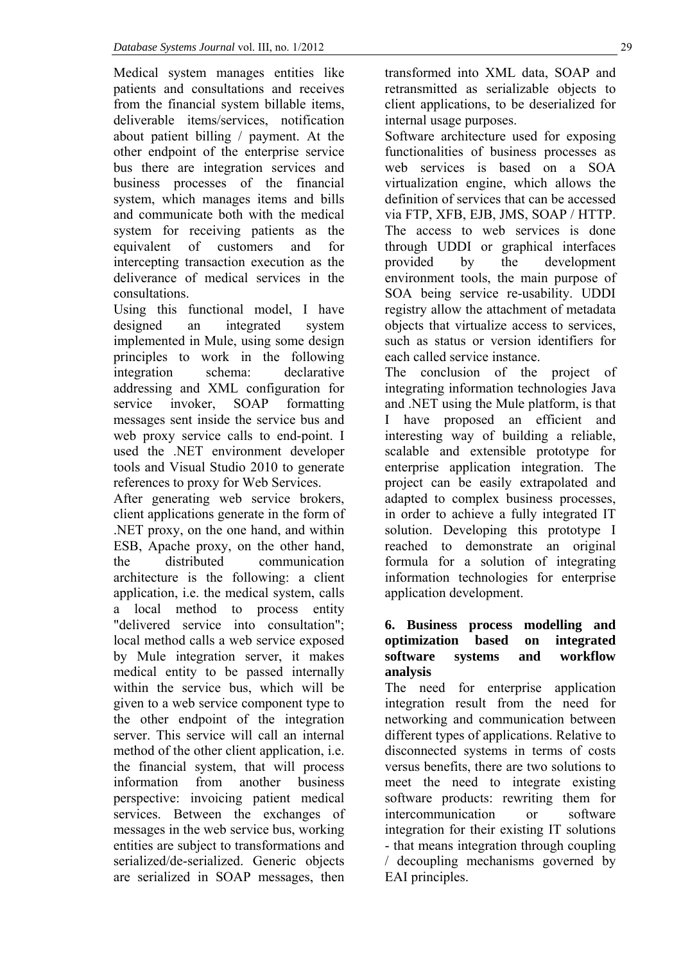Medical system manages entities like patients and consultations and receives from the financial system billable items, deliverable items/services, notification about patient billing / payment. At the other endpoint of the enterprise service bus there are integration services and business processes of the financial system, which manages items and bills and communicate both with the medical system for receiving patients as the equivalent of customers and for intercepting transaction execution as the deliverance of medical services in the consultations.

Using this functional model, I have designed an integrated system implemented in Mule, using some design principles to work in the following integration schema: declarative addressing and XML configuration for service invoker, SOAP formatting messages sent inside the service bus and web proxy service calls to end-point. I used the .NET environment developer tools and Visual Studio 2010 to generate references to proxy for Web Services.

After generating web service brokers, client applications generate in the form of .NET proxy, on the one hand, and within ESB, Apache proxy, on the other hand, the distributed communication architecture is the following: a client application, i.e. the medical system, calls a local method to process entity "delivered service into consultation"; local method calls a web service exposed by Mule integration server, it makes medical entity to be passed internally within the service bus, which will be given to a web service component type to the other endpoint of the integration server. This service will call an internal method of the other client application, i.e. the financial system, that will process information from another business perspective: invoicing patient medical services. Between the exchanges of messages in the web service bus, working entities are subject to transformations and serialized/de-serialized. Generic objects are serialized in SOAP messages, then

transformed into XML data, SOAP and retransmitted as serializable objects to client applications, to be deserialized for internal usage purposes.

Software architecture used for exposing functionalities of business processes as web services is based on a SOA virtualization engine, which allows the definition of services that can be accessed via FTP, XFB, EJB, JMS, SOAP / HTTP. The access to web services is done through UDDI or graphical interfaces provided by the development environment tools, the main purpose of SOA being service re-usability. UDDI registry allow the attachment of metadata objects that virtualize access to services, such as status or version identifiers for each called service instance.

The conclusion of the project of integrating information technologies Java and .NET using the Mule platform, is that I have proposed an efficient and interesting way of building a reliable, scalable and extensible prototype for enterprise application integration. The project can be easily extrapolated and adapted to complex business processes, in order to achieve a fully integrated IT solution. Developing this prototype I reached to demonstrate an original formula for a solution of integrating information technologies for enterprise application development.

#### **6. Business process modelling and optimization based on integrated software systems and workflow analysis**

The need for enterprise application integration result from the need for networking and communication between different types of applications. Relative to disconnected systems in terms of costs versus benefits, there are two solutions to meet the need to integrate existing software products: rewriting them for intercommunication or software integration for their existing IT solutions - that means integration through coupling / decoupling mechanisms governed by EAI principles.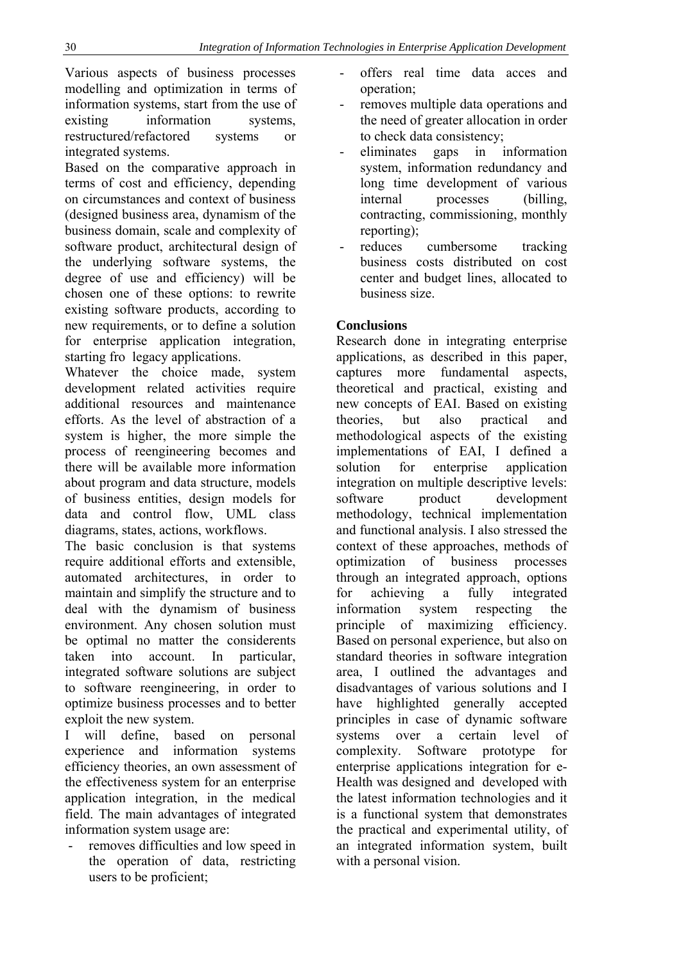Various aspects of business processes modelling and optimization in terms of information systems, start from the use of existing information systems, restructured/refactored systems or integrated systems.

Based on the comparative approach in terms of cost and efficiency, depending on circumstances and context of business (designed business area, dynamism of the business domain, scale and complexity of software product, architectural design of the underlying software systems, the degree of use and efficiency) will be chosen one of these options: to rewrite existing software products, according to new requirements, or to define a solution for enterprise application integration, starting fro legacy applications.

Whatever the choice made, system development related activities require additional resources and maintenance efforts. As the level of abstraction of a system is higher, the more simple the process of reengineering becomes and there will be available more information about program and data structure, models of business entities, design models for data and control flow, UML class diagrams, states, actions, workflows.

The basic conclusion is that systems require additional efforts and extensible, automated architectures, in order to maintain and simplify the structure and to deal with the dynamism of business environment. Any chosen solution must be optimal no matter the considerents taken into account. In particular, integrated software solutions are subject to software reengineering, in order to optimize business processes and to better exploit the new system.

I will define, based on personal experience and information systems efficiency theories, an own assessment of the effectiveness system for an enterprise application integration, in the medical field. The main advantages of integrated information system usage are:

removes difficulties and low speed in the operation of data, restricting users to be proficient;

- offers real time data acces and operation;
- removes multiple data operations and the need of greater allocation in order to check data consistency;
- eliminates gaps in information system, information redundancy and long time development of various internal processes (billing, contracting, commissioning, monthly reporting);
- reduces cumbersome tracking business costs distributed on cost center and budget lines, allocated to business size.

### **Conclusions**

Research done in integrating enterprise applications, as described in this paper, captures more fundamental aspects, theoretical and practical, existing and new concepts of EAI. Based on existing theories, but also practical and methodological aspects of the existing implementations of EAI, I defined a solution for enterprise application integration on multiple descriptive levels: software product development methodology, technical implementation and functional analysis. I also stressed the context of these approaches, methods of optimization of business processes through an integrated approach, options for achieving a fully integrated information system respecting the principle of maximizing efficiency. Based on personal experience, but also on standard theories in software integration area, I outlined the advantages and disadvantages of various solutions and I have highlighted generally accepted principles in case of dynamic software systems over a certain level of complexity. Software prototype for enterprise applications integration for e-Health was designed and developed with the latest information technologies and it is a functional system that demonstrates the practical and experimental utility, of an integrated information system, built with a personal vision.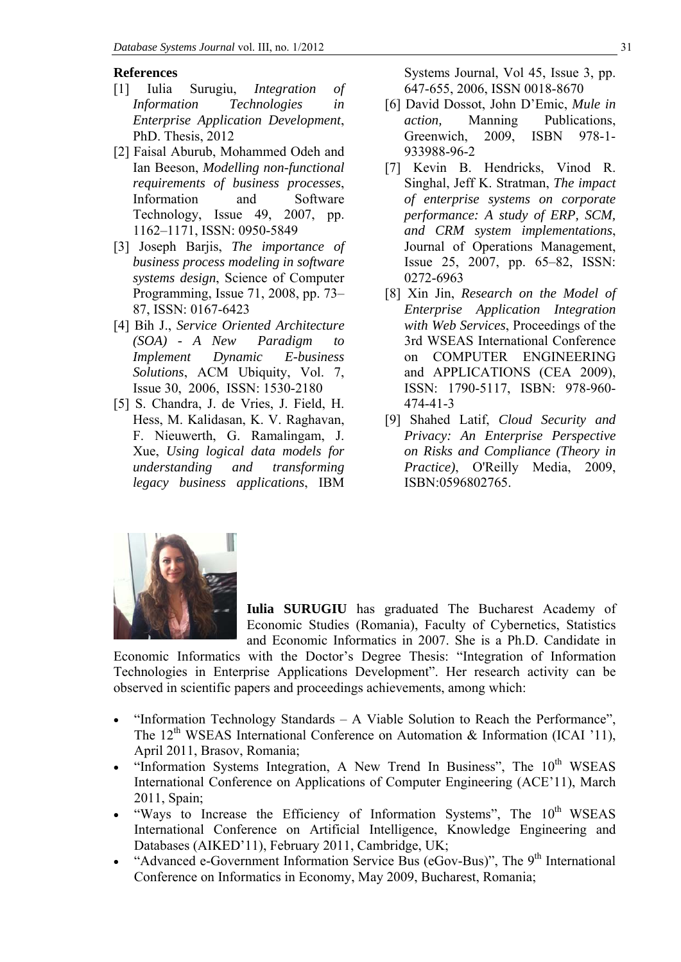#### **References**

- [1] Iulia Surugiu, *Integration of Information Technologies in Enterprise Application Development*, PhD. Thesis, 2012
- [2] Faisal Aburub, Mohammed Odeh and Ian Beeson, *Modelling non-functional requirements of business processes*, Information and Software Technology, Issue 49, 2007, pp. 1162–1171, ISSN: 0950-5849
- [3] Joseph Barjis, *The importance of business process modeling in software systems design*, Science of Computer Programming, Issue 71, 2008, pp. 73– 87, ISSN: 0167-6423
- [4] Bih J., *Service Oriented Architecture (SOA) - A New Paradigm to Implement Dynamic E-business Solutions*, ACM Ubiquity, Vol. 7, Issue 30, 2006, ISSN: 1530-2180
- [5] S. Chandra, J. de Vries, J. Field, H. Hess, M. Kalidasan, K. V. Raghavan, F. Nieuwerth, G. Ramalingam, J. Xue, *Using logical data models for understanding and transforming legacy business applications*, IBM

Systems Journal, Vol 45, Issue 3, pp. 647-655, 2006, ISSN 0018-8670

- [6] David Dossot, John D'Emic, *Mule in action,* Manning Publications, Greenwich, 2009, ISBN 978-1- 933988-96-2
- [7] Kevin B. Hendricks, Vinod R. Singhal, Jeff K. Stratman, *The impact of enterprise systems on corporate performance: A study of ERP, SCM, and CRM system implementations*, Journal of Operations Management, Issue 25, 2007, pp. 65–82, ISSN: 0272-6963
- [8] Xin Jin, *Research on the Model of Enterprise Application Integration with Web Services*, Proceedings of the 3rd WSEAS International Conference on COMPUTER ENGINEERING and APPLICATIONS (CEA 2009), ISSN: 1790-5117, ISBN: 978-960- 474-41-3
- [9] Shahed Latif, *Cloud Security and Privacy: An Enterprise Perspective on Risks and Compliance (Theory in Practice)*, O'Reilly Media, 2009, ISBN:0596802765.



**Iulia SURUGIU** has graduated The Bucharest Academy of Economic Studies (Romania), Faculty of Cybernetics, Statistics and Economic Informatics in 2007. She is a Ph.D. Candidate in

Economic Informatics with the Doctor's Degree Thesis: "Integration of Information Technologies in Enterprise Applications Development". Her research activity can be observed in scientific papers and proceedings achievements, among which:

- "Information Technology Standards A Viable Solution to Reach the Performance", The 12<sup>th</sup> WSEAS International Conference on Automation & Information (ICAI '11), April 2011, Brasov, Romania;
- "Information Systems Integration, A New Trend In Business", The  $10<sup>th</sup>$  WSEAS International Conference on Applications of Computer Engineering (ACE'11), March 2011, Spain;
- $\bullet$  "Ways to Increase the Efficiency of Information Systems", The  $10^{th}$  WSEAS International Conference on Artificial Intelligence, Knowledge Engineering and Databases (AIKED'11), February 2011, Cambridge, UK;
- "Advanced e-Government Information Service Bus (eGov-Bus)", The  $9<sup>th</sup>$  International Conference on Informatics in Economy, May 2009, Bucharest, Romania;